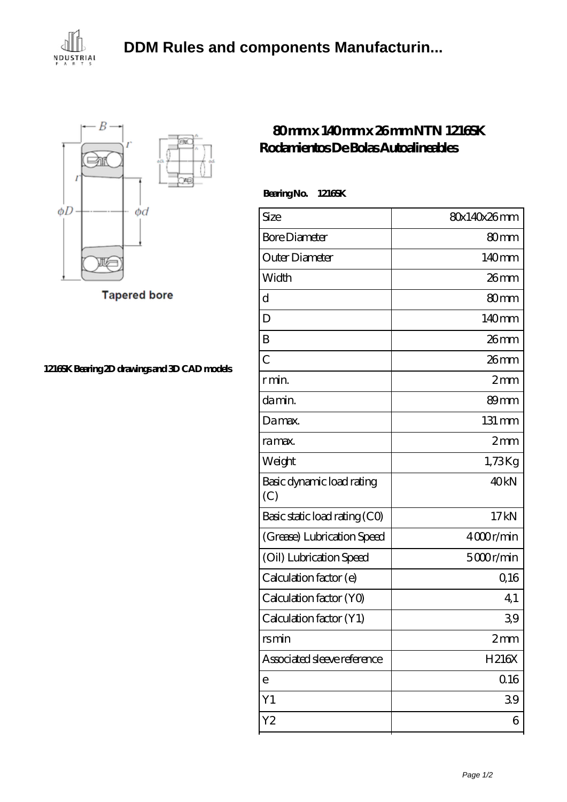





**[1216SK Bearing 2D drawings and 3D CAD models](https://uozww.com/pic-102210.html)**

## **[80 mm x 140 mm x 26 mm NTN 1216SK](https://uozww.com/at-102210-ntn-1216sk-rodamientos-de-bolas-autoalineables.html) [Rodamientos De Bolas Autoalineables](https://uozww.com/at-102210-ntn-1216sk-rodamientos-de-bolas-autoalineables.html)**

 **Bearing No. 1216SK**

| 80x140x26mm       |
|-------------------|
| 80mm              |
| 140mm             |
| $26$ mm           |
| 80 <sub>mm</sub>  |
| 140 <sub>mm</sub> |
| 26mm              |
| $26$ mm           |
| 2mm               |
| 89mm              |
| 131 mm            |
| 2mm               |
| 1,73Kg            |
| 40 <sub>kN</sub>  |
| 17kN              |
| 4000r/min         |
| 5000r/min         |
| 0,16              |
| 4,1               |
| 39                |
| 2mm               |
| H216X             |
| 0.16              |
| 39                |
| 6                 |
|                   |